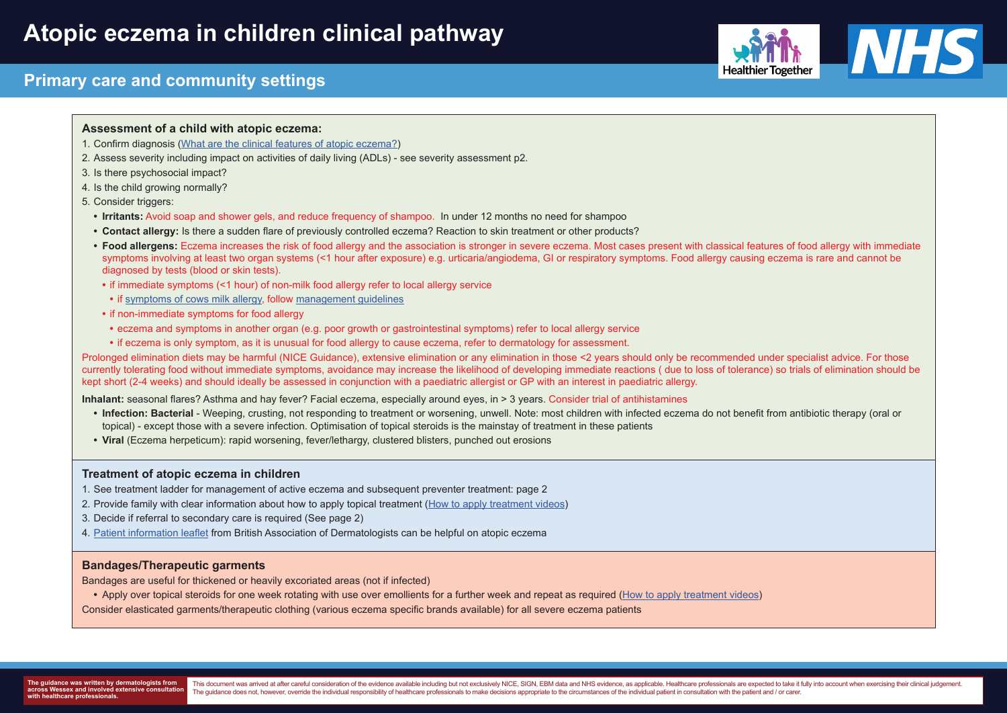# **Primary care and community settings**







### **Assessment of a child with atopic eczema:**

Prolonged elimination diets may be harmful (NICE Guidance), extensive elimination or any elimination in those <2 years should only be recommended under specialist advice. For those currently tolerating food without immediate symptoms, avoidance may increase the likelihood of developing immediate reactions ( due to loss of tolerance) so trials of elimination should be kept short (2-4 weeks) and should ideally be assessed in conjunction with a paediatric allergist or GP with an interest in paediatric allergy.

- 1. Confirm diagnosis (What are the clinical features of atopic eczema?)
- 2. Assess severity including impact on activities of daily living (ADLs) see severity assessment p2.
- 3. Is there psychosocial impact?
- 4. Is the child growing normally?
- 5. Consider triggers:
	- **• Irritants:** Avoid soap and shower gels, and reduce frequency of shampoo. In under 12 months no need for shampoo
	- **• Contact allergy:** Is there a sudden flare of previously controlled eczema? Reaction to skin treatment or other products?
	- Food allergens: Eczema increases the risk of food allergy and the association is stronger in severe eczema. Most cases present with classical features of food allergy with immediate symptoms involving at least two organ systems (<1 hour after exposure) e.g. urticaria/angiodema, GI or respiratory symptoms. Food allergy causing eczema is rare and cannot be diagnosed by tests (blood or skin tests).
	- if immediate symptoms (<1 hour) of non-milk food allergy refer to local allergy service
	- **•** if symptoms of cows milk allergy, follow management guidelines
	- **•** if non-immediate symptoms for food allergy
	- **•** eczema and symptoms in another organ (e.g. poor growth or gastrointestinal symptoms) refer to local allergy service
	- **•** if eczema is only symptom, as it is unusual for food allergy to cause eczema, refer to dermatology for assessment.

**Inhalant:** seasonal flares? Asthma and hay fever? Facial eczema, especially around eyes, in > 3 years. Consider trial of antihistamines

- **Infection: Bacterial** Weeping, crusting, not responding to treatment or worsening, unwell. Note: most children with infected eczema do not benefit from antibiotic therapy (oral or topical) - except those with a severe infection. Optimisation of topical steroids is the mainstay of treatment in these patients
- **Viral** (Eczema herpeticum): rapid worsening, fever/lethargy, clustered blisters, punched out erosions

#### **Treatment of atopic eczema in children**

- 1. See treatment ladder for management of active eczema and subsequent preventer treatment: page 2
- 2. Provide family with clear information about how to apply topical treatment (How to apply treatment videos)
- 3. Decide if referral to secondary care is required (See page 2)
- 4. Patient information leaflet from British Association of Dermatologists can be helpful on atopic eczema

### **Bandages/Therapeutic garments**

Bandages are useful for thickened or heavily excoriated areas (not if infected)

**•** Apply over topical steroids for one week rotating with use over emollients for a further week and repeat as required (How to apply treatment videos) Consider elasticated garments/therapeutic clothing (various eczema specific brands available) for all severe eczema patients